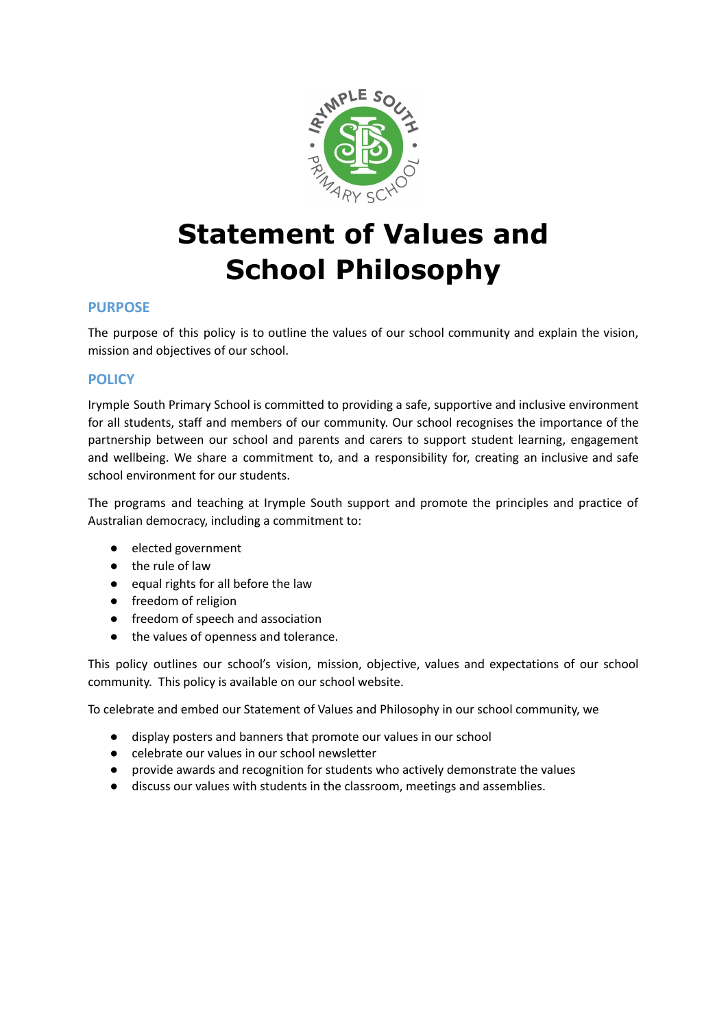

# **Statement of Values and School Philosophy**

# **PURPOSE**

The purpose of this policy is to outline the values of our school community and explain the vision, mission and objectives of our school.

## **POLICY**

Irymple South Primary School is committed to providing a safe, supportive and inclusive environment for all students, staff and members of our community. Our school recognises the importance of the partnership between our school and parents and carers to support student learning, engagement and wellbeing. We share a commitment to, and a responsibility for, creating an inclusive and safe school environment for our students.

The programs and teaching at Irymple South support and promote the principles and practice of Australian democracy, including a commitment to:

- elected government
- the rule of law
- equal rights for all before the law
- freedom of religion
- freedom of speech and association
- the values of openness and tolerance.

This policy outlines our school's vision, mission, objective, values and expectations of our school community. This policy is available on our school website.

To celebrate and embed our Statement of Values and Philosophy in our school community, we

- **●** display posters and banners that promote our values in our school
- **●** celebrate our values in our school newsletter
- **●** provide awards and recognition for students who actively demonstrate the values
- **●** discuss our values with students in the classroom, meetings and assemblies.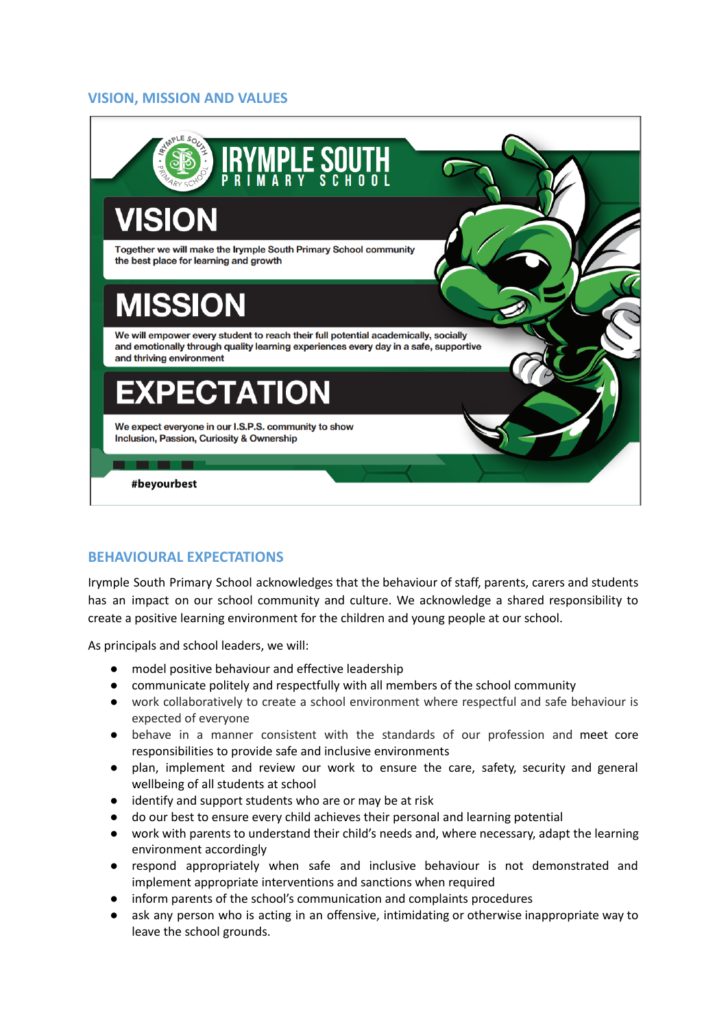## **VISION, MISSION AND VALUES**



# **BEHAVIOURAL EXPECTATIONS**

Irymple South Primary School acknowledges that the behaviour of staff, parents, carers and students has an impact on our school community and culture. We acknowledge a shared responsibility to create a positive learning environment for the children and young people at our school.

As principals and school leaders, we will:

- model positive behaviour and effective leadership
- communicate politely and respectfully with all members of the school community
- work collaboratively to create a school environment where respectful and safe behaviour is expected of everyone
- behave in a manner consistent with the standards of our profession and meet core responsibilities to provide safe and inclusive environments
- plan, implement and review our work to ensure the care, safety, security and general wellbeing of all students at school
- identify and support students who are or may be at risk
- do our best to ensure every child achieves their personal and learning potential
- work with parents to understand their child's needs and, where necessary, adapt the learning environment accordingly
- respond appropriately when safe and inclusive behaviour is not demonstrated and implement appropriate interventions and sanctions when required
- inform parents of the school's communication and complaints procedures
- ask any person who is acting in an offensive, intimidating or otherwise inappropriate way to leave the school grounds.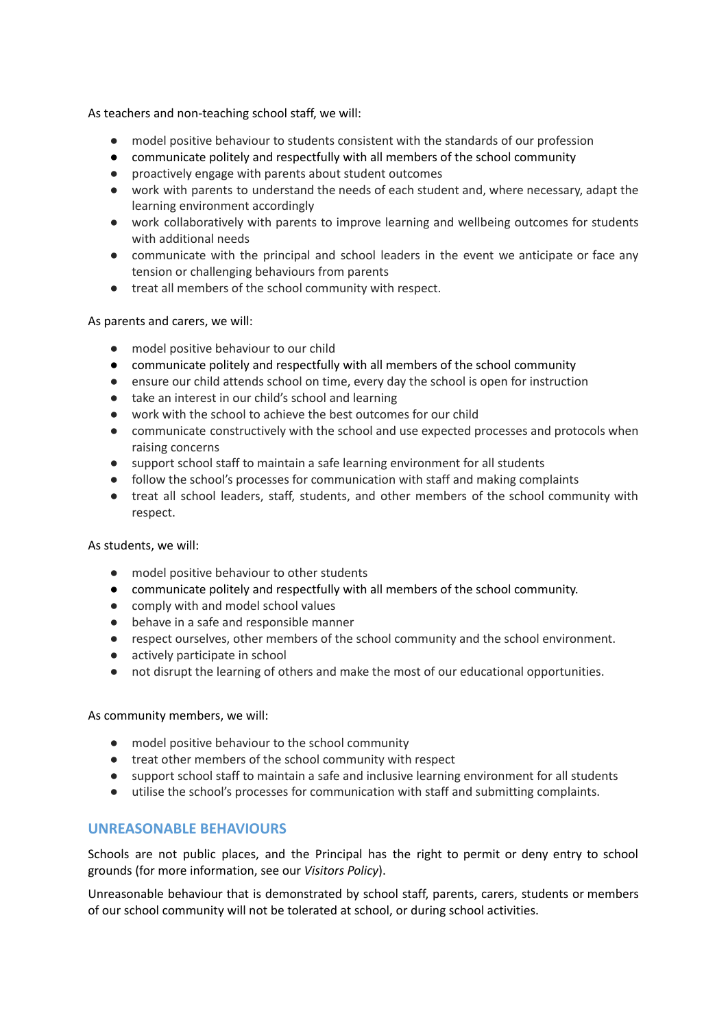As teachers and non-teaching school staff, we will:

- model positive behaviour to students consistent with the standards of our profession
- communicate politely and respectfully with all members of the school community
- proactively engage with parents about student outcomes
- work with parents to understand the needs of each student and, where necessary, adapt the learning environment accordingly
- work collaboratively with parents to improve learning and wellbeing outcomes for students with additional needs
- communicate with the principal and school leaders in the event we anticipate or face any tension or challenging behaviours from parents
- treat all members of the school community with respect.

#### As parents and carers, we will:

- model positive behaviour to our child
- communicate politely and respectfully with all members of the school community
- ensure our child attends school on time, every day the school is open for instruction
- take an interest in our child's school and learning
- work with the school to achieve the best outcomes for our child
- communicate constructively with the school and use expected processes and protocols when raising concerns
- support school staff to maintain a safe learning environment for all students
- follow the school's processes for communication with staff and making complaints
- treat all school leaders, staff, students, and other members of the school community with respect.

#### As students, we will:

- model positive behaviour to other students
- communicate politely and respectfully with all members of the school community.
- comply with and model school values
- behave in a safe and responsible manner
- respect ourselves, other members of the school community and the school environment.
- actively participate in school
- not disrupt the learning of others and make the most of our educational opportunities.

As community members, we will:

- model positive behaviour to the school community
- treat other members of the school community with respect
- support school staff to maintain a safe and inclusive learning environment for all students
- utilise the school's processes for communication with staff and submitting complaints.

## **UNREASONABLE BEHAVIOURS**

Schools are not public places, and the Principal has the right to permit or deny entry to school grounds (for more information, see our *Visitors Policy*).

Unreasonable behaviour that is demonstrated by school staff, parents, carers, students or members of our school community will not be tolerated at school, or during school activities.